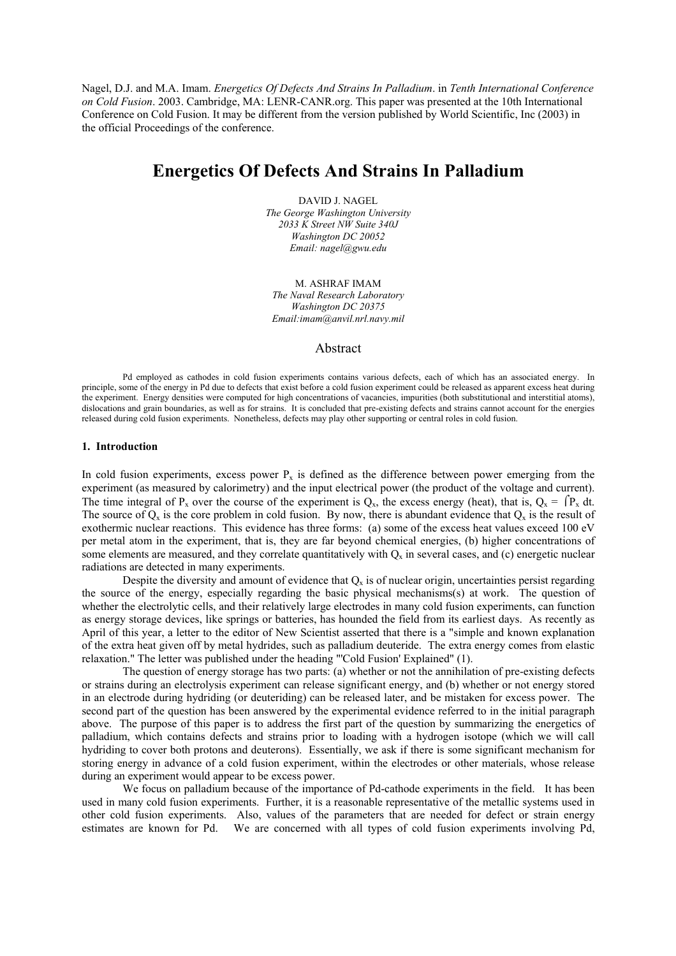Nagel, D.J. and M.A. Imam. *Energetics Of Defects And Strains In Palladium*. in *Tenth International Conference on Cold Fusion*. 2003. Cambridge, MA: LENR-CANR.org. This paper was presented at the 10th International Conference on Cold Fusion. It may be different from the version published by World Scientific, Inc (2003) in the official Proceedings of the conference.

# **Energetics Of Defects And Strains In Palladium**

DAVID J. NAGEL *The George Washington University 2033 K Street NW Suite 340J Washington DC 20052 Email: nagel@gwu.edu* 

M. ASHRAF IMAM *The Naval Research Laboratory Washington DC 20375 Email:imam@anvil.nrl.navy.mil* 

# Abstract

Pd employed as cathodes in cold fusion experiments contains various defects, each of which has an associated energy. In principle, some of the energy in Pd due to defects that exist before a cold fusion experiment could be released as apparent excess heat during the experiment. Energy densities were computed for high concentrations of vacancies, impurities (both substitutional and interstitial atoms), dislocations and grain boundaries, as well as for strains. It is concluded that pre-existing defects and strains cannot account for the energies released during cold fusion experiments. Nonetheless, defects may play other supporting or central roles in cold fusion.

### **1. Introduction**

In cold fusion experiments, excess power  $P<sub>x</sub>$  is defined as the difference between power emerging from the experiment (as measured by calorimetry) and the input electrical power (the product of the voltage and current). The time integral of P<sub>x</sub> over the course of the experiment is Q<sub>x</sub>, the excess energy (heat), that is, Q<sub>x</sub> =  $\int P_x dt$ . The source of  $Q_x$  is the core problem in cold fusion. By now, there is abundant evidence that  $Q_x$  is the result of exothermic nuclear reactions. This evidence has three forms: (a) some of the excess heat values exceed 100 eV per metal atom in the experiment, that is, they are far beyond chemical energies, (b) higher concentrations of some elements are measured, and they correlate quantitatively with  $Q_x$  in several cases, and (c) energetic nuclear radiations are detected in many experiments.

Despite the diversity and amount of evidence that  $Q_x$  is of nuclear origin, uncertainties persist regarding the source of the energy, especially regarding the basic physical mechanisms(s) at work. The question of whether the electrolytic cells, and their relatively large electrodes in many cold fusion experiments, can function as energy storage devices, like springs or batteries, has hounded the field from its earliest days. As recently as April of this year, a letter to the editor of New Scientist asserted that there is a "simple and known explanation of the extra heat given off by metal hydrides, such as palladium deuteride. The extra energy comes from elastic relaxation." The letter was published under the heading "'Cold Fusion' Explained" (1).

The question of energy storage has two parts: (a) whether or not the annihilation of pre-existing defects or strains during an electrolysis experiment can release significant energy, and (b) whether or not energy stored in an electrode during hydriding (or deuteriding) can be released later, and be mistaken for excess power. The second part of the question has been answered by the experimental evidence referred to in the initial paragraph above. The purpose of this paper is to address the first part of the question by summarizing the energetics of palladium, which contains defects and strains prior to loading with a hydrogen isotope (which we will call hydriding to cover both protons and deuterons). Essentially, we ask if there is some significant mechanism for storing energy in advance of a cold fusion experiment, within the electrodes or other materials, whose release during an experiment would appear to be excess power.

We focus on palladium because of the importance of Pd-cathode experiments in the field. It has been used in many cold fusion experiments. Further, it is a reasonable representative of the metallic systems used in other cold fusion experiments. Also, values of the parameters that are needed for defect or strain energy estimates are known for Pd. We are concerned with all types of cold fusion experiments involving Pd,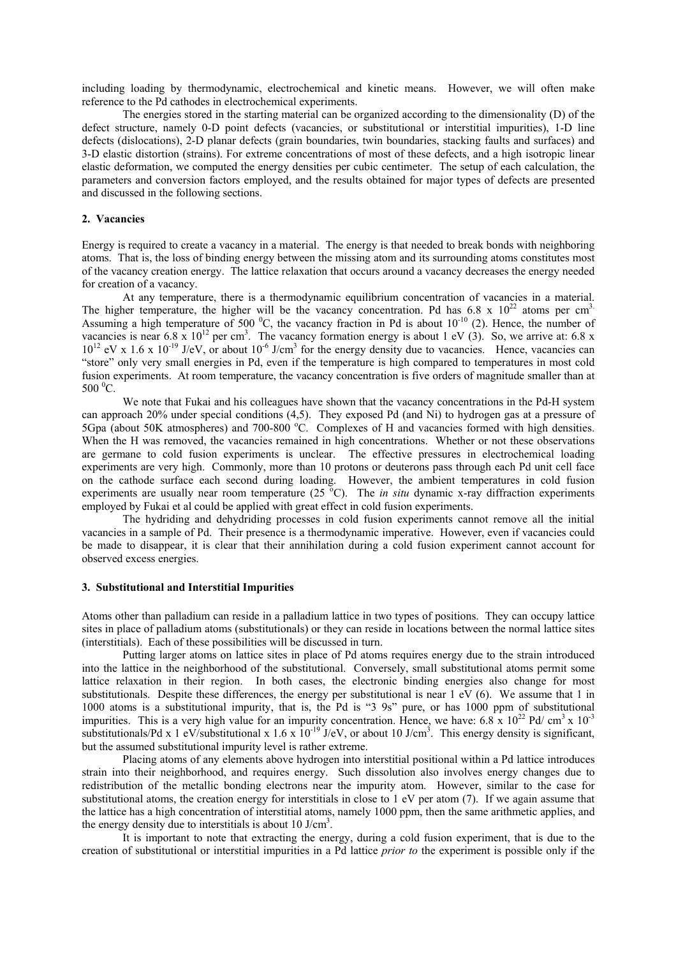including loading by thermodynamic, electrochemical and kinetic means. However, we will often make reference to the Pd cathodes in electrochemical experiments.

The energies stored in the starting material can be organized according to the dimensionality (D) of the defect structure, namely 0-D point defects (vacancies, or substitutional or interstitial impurities), 1-D line defects (dislocations), 2-D planar defects (grain boundaries, twin boundaries, stacking faults and surfaces) and 3-D elastic distortion (strains). For extreme concentrations of most of these defects, and a high isotropic linear elastic deformation, we computed the energy densities per cubic centimeter. The setup of each calculation, the parameters and conversion factors employed, and the results obtained for major types of defects are presented and discussed in the following sections.

## **2. Vacancies**

Energy is required to create a vacancy in a material. The energy is that needed to break bonds with neighboring atoms. That is, the loss of binding energy between the missing atom and its surrounding atoms constitutes most of the vacancy creation energy. The lattice relaxation that occurs around a vacancy decreases the energy needed for creation of a vacancy.

 At any temperature, there is a thermodynamic equilibrium concentration of vacancies in a material. The higher temperature, the higher will be the vacancy concentration. Pd has 6.8 x  $10^{22}$  atoms per cm<sup>3.</sup> Assuming a high temperature of 500  $^{\circ}$ C, the vacancy fraction in Pd is about 10<sup>-10</sup> (2). Hence, the number of vacancies is near 6.8 x  $10^{12}$  per cm<sup>3</sup>. The vacancy formation energy is about 1 eV (3). So, we arrive at: 6.8 x  $10^{12}$  eV x 1.6 x  $10^{-19}$  J/eV, or about  $10^{-6}$  J/cm<sup>3</sup> for the energy density due to vacancies. Hence, vacancies can "store" only very small energies in Pd, even if the temperature is high compared to temperatures in most cold fusion experiments. At room temperature, the vacancy concentration is five orders of magnitude smaller than at  $500\,^0C$ .

We note that Fukai and his colleagues have shown that the vacancy concentrations in the Pd-H system can approach 20% under special conditions (4,5). They exposed Pd (and Ni) to hydrogen gas at a pressure of 5Gpa (about 50K atmospheres) and 700-800 °C. Complexes of H and vacancies formed with high densities. When the H was removed, the vacancies remained in high concentrations. Whether or not these observations are germane to cold fusion experiments is unclear. The effective pressures in electrochemical loading experiments are very high. Commonly, more than 10 protons or deuterons pass through each Pd unit cell face on the cathode surface each second during loading. However, the ambient temperatures in cold fusion experiments are usually near room temperature  $(25 \degree C)$ . The *in situ* dynamic x-ray diffraction experiments employed by Fukai et al could be applied with great effect in cold fusion experiments.

The hydriding and dehydriding processes in cold fusion experiments cannot remove all the initial vacancies in a sample of Pd. Their presence is a thermodynamic imperative. However, even if vacancies could be made to disappear, it is clear that their annihilation during a cold fusion experiment cannot account for observed excess energies.

# **3. Substitutional and Interstitial Impurities**

Atoms other than palladium can reside in a palladium lattice in two types of positions. They can occupy lattice sites in place of palladium atoms (substitutionals) or they can reside in locations between the normal lattice sites (interstitials). Each of these possibilities will be discussed in turn.

 Putting larger atoms on lattice sites in place of Pd atoms requires energy due to the strain introduced into the lattice in the neighborhood of the substitutional. Conversely, small substitutional atoms permit some lattice relaxation in their region. In both cases, the electronic binding energies also change for most substitutionals. Despite these differences, the energy per substitutional is near 1 eV (6). We assume that 1 in 1000 atoms is a substitutional impurity, that is, the Pd is "3 9s" pure, or has 1000 ppm of substitutional impurities. This is a very high value for an impurity concentration. Hence, we have: 6.8 x  $10^{22}$  Pd/ cm<sup>3</sup> x  $10^{-3}$ substitutionals/Pd x 1 eV/substitutional x 1.6 x  $10^{-19}$  J/eV, or about 10 J/cm<sup>3</sup>. This energy density is significant, but the assumed substitutional impurity level is rather extreme.

 Placing atoms of any elements above hydrogen into interstitial positional within a Pd lattice introduces strain into their neighborhood, and requires energy. Such dissolution also involves energy changes due to redistribution of the metallic bonding electrons near the impurity atom. However, similar to the case for substitutional atoms, the creation energy for interstitials in close to 1 eV per atom (7). If we again assume that the lattice has a high concentration of interstitial atoms, namely 1000 ppm, then the same arithmetic applies, and the energy density due to interstitials is about  $10 \text{ J/cm}^3$ .

 It is important to note that extracting the energy, during a cold fusion experiment, that is due to the creation of substitutional or interstitial impurities in a Pd lattice *prior to* the experiment is possible only if the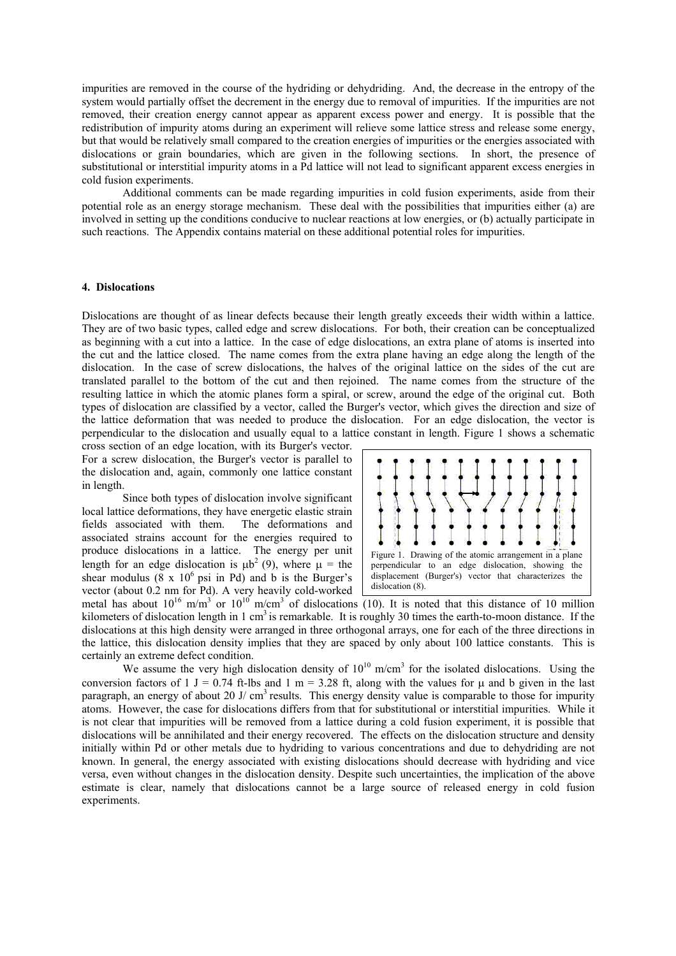impurities are removed in the course of the hydriding or dehydriding. And, the decrease in the entropy of the system would partially offset the decrement in the energy due to removal of impurities. If the impurities are not removed, their creation energy cannot appear as apparent excess power and energy. It is possible that the redistribution of impurity atoms during an experiment will relieve some lattice stress and release some energy, but that would be relatively small compared to the creation energies of impurities or the energies associated with dislocations or grain boundaries, which are given in the following sections. In short, the presence of substitutional or interstitial impurity atoms in a Pd lattice will not lead to significant apparent excess energies in cold fusion experiments.

Additional comments can be made regarding impurities in cold fusion experiments, aside from their potential role as an energy storage mechanism. These deal with the possibilities that impurities either (a) are involved in setting up the conditions conducive to nuclear reactions at low energies, or (b) actually participate in such reactions. The Appendix contains material on these additional potential roles for impurities.

### **4. Dislocations**

Dislocations are thought of as linear defects because their length greatly exceeds their width within a lattice. They are of two basic types, called edge and screw dislocations. For both, their creation can be conceptualized as beginning with a cut into a lattice. In the case of edge dislocations, an extra plane of atoms is inserted into the cut and the lattice closed. The name comes from the extra plane having an edge along the length of the dislocation. In the case of screw dislocations, the halves of the original lattice on the sides of the cut are translated parallel to the bottom of the cut and then rejoined. The name comes from the structure of the resulting lattice in which the atomic planes form a spiral, or screw, around the edge of the original cut. Both types of dislocation are classified by a vector, called the Burger's vector, which gives the direction and size of the lattice deformation that was needed to produce the dislocation. For an edge dislocation, the vector is perpendicular to the dislocation and usually equal to a lattice constant in length. Figure 1 shows a schematic

cross section of an edge location, with its Burger's vector. For a screw dislocation, the Burger's vector is parallel to the dislocation and, again, commonly one lattice constant in length.

Since both types of dislocation involve significant local lattice deformations, they have energetic elastic strain fields associated with them. The deformations and associated strains account for the energies required to produce dislocations in a lattice. The energy per unit length for an edge dislocation is  $\mu b^2$  (9), where  $\mu =$  the shear modulus  $(8 \times 10^6 \text{ psi in Pd})$  and b is the Burger's vector (about 0.2 nm for Pd). A very heavily cold-worked



metal has about  $10^{16}$  m/m<sup>3</sup> or  $10^{10}$  m/cm<sup>3</sup> of dislocations (10). It is noted that this distance of 10 million kilometers of dislocation length in 1 cm<sup>3</sup> is remarkable. It is roughly 30 times the earth-to-moon distance. If the dislocations at this high density were arranged in three orthogonal arrays, one for each of the three directions in the lattice, this dislocation density implies that they are spaced by only about 100 lattice constants. This is certainly an extreme defect condition.

We assume the very high dislocation density of  $10^{10}$  m/cm<sup>3</sup> for the isolated dislocations. Using the conversion factors of 1 J = 0.74 ft-lbs and 1 m = 3.28 ft, along with the values for  $\mu$  and b given in the last paragraph, an energy of about 20 J/  $cm<sup>3</sup>$  results. This energy density value is comparable to those for impurity atoms. However, the case for dislocations differs from that for substitutional or interstitial impurities. While it is not clear that impurities will be removed from a lattice during a cold fusion experiment, it is possible that dislocations will be annihilated and their energy recovered. The effects on the dislocation structure and density initially within Pd or other metals due to hydriding to various concentrations and due to dehydriding are not known. In general, the energy associated with existing dislocations should decrease with hydriding and vice versa, even without changes in the dislocation density. Despite such uncertainties, the implication of the above estimate is clear, namely that dislocations cannot be a large source of released energy in cold fusion experiments.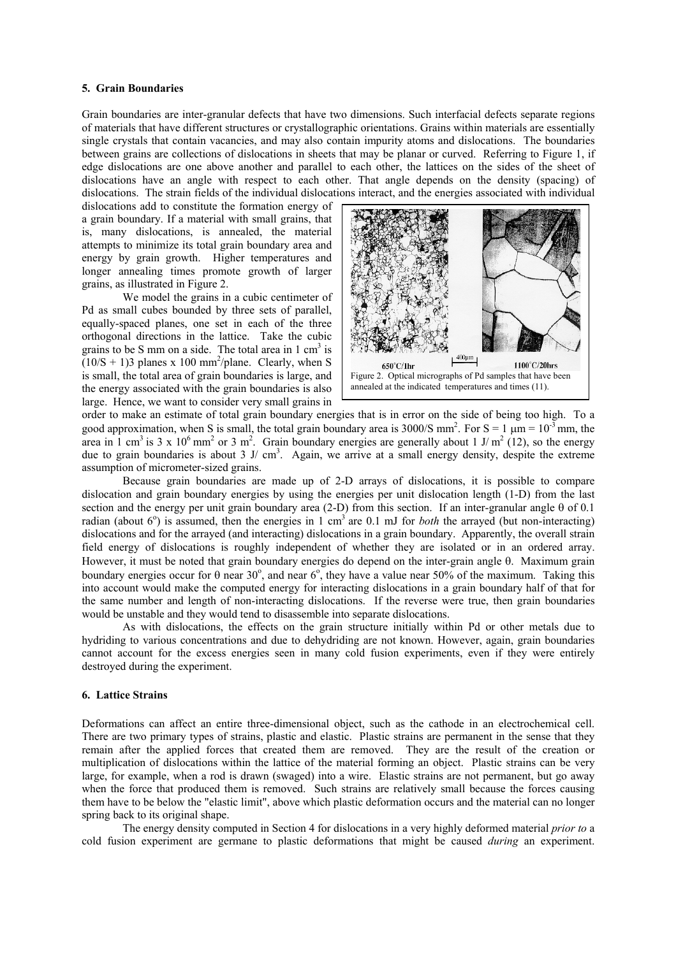#### **5. Grain Boundaries**

Grain boundaries are inter-granular defects that have two dimensions. Such interfacial defects separate regions of materials that have different structures or crystallographic orientations. Grains within materials are essentially single crystals that contain vacancies, and may also contain impurity atoms and dislocations. The boundaries between grains are collections of dislocations in sheets that may be planar or curved. Referring to Figure 1, if edge dislocations are one above another and parallel to each other, the lattices on the sides of the sheet of dislocations have an angle with respect to each other. That angle depends on the density (spacing) of dislocations. The strain fields of the individual dislocations interact, and the energies associated with individual

dislocations add to constitute the formation energy of a grain boundary. If a material with small grains, that is, many dislocations, is annealed, the material attempts to minimize its total grain boundary area and energy by grain growth. Higher temperatures and longer annealing times promote growth of larger grains, as illustrated in Figure 2.

We model the grains in a cubic centimeter of Pd as small cubes bounded by three sets of parallel, equally-spaced planes, one set in each of the three orthogonal directions in the lattice. Take the cubic grains to be S mm on a side. The total area in  $1 \text{ cm}^3$  is  $(10/S + 1)$ 3 planes x 100 mm<sup>2</sup>/plane. Clearly, when S is small, the total area of grain boundaries is large, and the energy associated with the grain boundaries is also large. Hence, we want to consider very small grains in



order to make an estimate of total grain boundary energies that is in error on the side of being too high. To a good approximation, when S is small, the total grain boundary area is 3000/S mm<sup>2</sup>. For  $S = 1 \mu m = 10^{-3}$  mm, the area in 1 cm<sup>3</sup> is 3 x 10<sup>6</sup> mm<sup>2</sup> or 3 m<sup>2</sup>. Grain boundary energies are generally about 1 J/m<sup>2</sup> (12), so the energy due to grain boundaries is about 3 J/ cm<sup>3</sup>. Again, we arrive at a small energy density, despite the extreme assumption of micrometer-sized grains.

Because grain boundaries are made up of 2-D arrays of dislocations, it is possible to compare dislocation and grain boundary energies by using the energies per unit dislocation length (1-D) from the last section and the energy per unit grain boundary area (2-D) from this section. If an inter-granular angle θ of 0.1 radian (about  $6^\circ$ ) is assumed, then the energies in 1 cm<sup>3</sup> are 0.1 mJ for *both* the arrayed (but non-interacting) dislocations and for the arrayed (and interacting) dislocations in a grain boundary. Apparently, the overall strain field energy of dislocations is roughly independent of whether they are isolated or in an ordered array. However, it must be noted that grain boundary energies do depend on the inter-grain angle θ. Maximum grain boundary energies occur for  $\theta$  near 30°, and near 6°, they have a value near 50% of the maximum. Taking this into account would make the computed energy for interacting dislocations in a grain boundary half of that for the same number and length of non-interacting dislocations. If the reverse were true, then grain boundaries would be unstable and they would tend to disassemble into separate dislocations.

As with dislocations, the effects on the grain structure initially within Pd or other metals due to hydriding to various concentrations and due to dehydriding are not known. However, again, grain boundaries cannot account for the excess energies seen in many cold fusion experiments, even if they were entirely destroyed during the experiment.

# **6. Lattice Strains**

Deformations can affect an entire three-dimensional object, such as the cathode in an electrochemical cell. There are two primary types of strains, plastic and elastic. Plastic strains are permanent in the sense that they remain after the applied forces that created them are removed. They are the result of the creation or multiplication of dislocations within the lattice of the material forming an object. Plastic strains can be very large, for example, when a rod is drawn (swaged) into a wire. Elastic strains are not permanent, but go away when the force that produced them is removed. Such strains are relatively small because the forces causing them have to be below the "elastic limit", above which plastic deformation occurs and the material can no longer spring back to its original shape.

The energy density computed in Section 4 for dislocations in a very highly deformed material *prior to* a cold fusion experiment are germane to plastic deformations that might be caused *during* an experiment.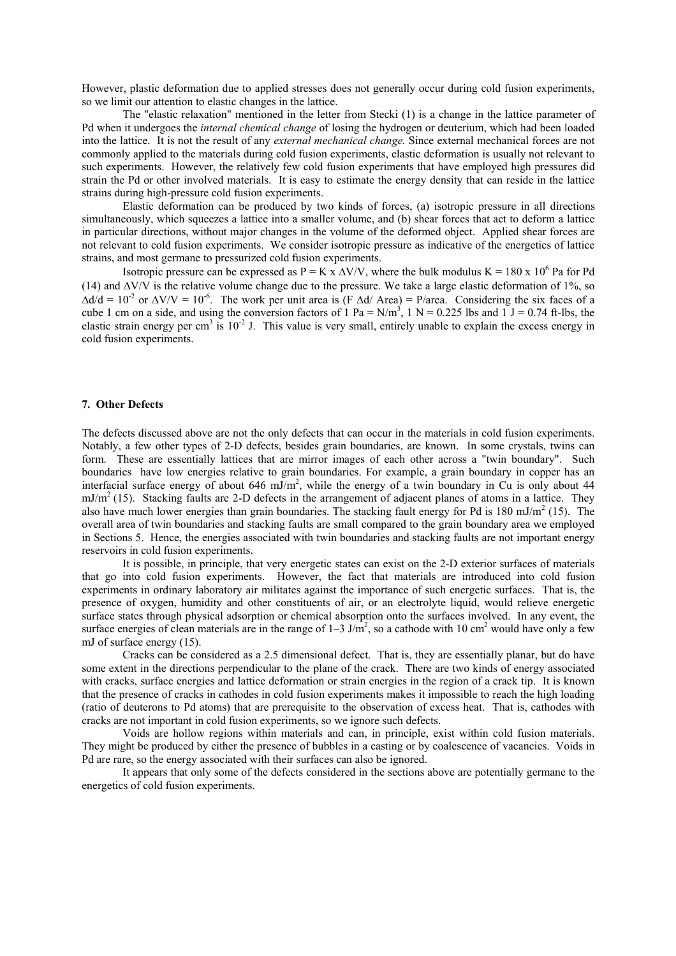However, plastic deformation due to applied stresses does not generally occur during cold fusion experiments, so we limit our attention to elastic changes in the lattice.

The "elastic relaxation" mentioned in the letter from Stecki (1) is a change in the lattice parameter of Pd when it undergoes the *internal chemical change* of losing the hydrogen or deuterium, which had been loaded into the lattice. It is not the result of any *external mechanical change.* Since external mechanical forces are not commonly applied to the materials during cold fusion experiments, elastic deformation is usually not relevant to such experiments. However, the relatively few cold fusion experiments that have employed high pressures did strain the Pd or other involved materials. It is easy to estimate the energy density that can reside in the lattice strains during high-pressure cold fusion experiments.

 Elastic deformation can be produced by two kinds of forces, (a) isotropic pressure in all directions simultaneously, which squeezes a lattice into a smaller volume, and (b) shear forces that act to deform a lattice in particular directions, without major changes in the volume of the deformed object. Applied shear forces are not relevant to cold fusion experiments. We consider isotropic pressure as indicative of the energetics of lattice strains, and most germane to pressurized cold fusion experiments.

Isotropic pressure can be expressed as  $P = K \times \Delta V/V$ , where the bulk modulus  $K = 180 \times 10^6$  Pa for Pd (14) and ∆V/V is the relative volume change due to the pressure. We take a large elastic deformation of 1%, so  $\Delta d/d = 10^{-2}$  or  $\Delta V/V = 10^{-6}$ . The work per unit area is (F  $\Delta d/\Delta r$ ea) = P/area. Considering the six faces of a cube 1 cm on a side, and using the conversion factors of 1 Pa =  $N/m<sup>3</sup>$ , 1 N = 0.225 lbs and 1 J = 0.74 ft-lbs, the elastic strain energy per cm<sup>3</sup> is  $10^{-2}$  J. This value is very small, entirely unable to explain the excess energy in cold fusion experiments.

## **7. Other Defects**

The defects discussed above are not the only defects that can occur in the materials in cold fusion experiments. Notably, a few other types of 2-D defects, besides grain boundaries, are known. In some crystals, twins can form. These are essentially lattices that are mirror images of each other across a "twin boundary". Such boundaries have low energies relative to grain boundaries. For example, a grain boundary in copper has an interfacial surface energy of about 646 mJ/m<sup>2</sup>, while the energy of a twin boundary in Cu is only about 44  $mJ/m<sup>2</sup>$  (15). Stacking faults are 2-D defects in the arrangement of adjacent planes of atoms in a lattice. They also have much lower energies than grain boundaries. The stacking fault energy for Pd is 180 mJ/m<sup>2</sup> (15). The overall area of twin boundaries and stacking faults are small compared to the grain boundary area we employed in Sections 5. Hence, the energies associated with twin boundaries and stacking faults are not important energy reservoirs in cold fusion experiments.

It is possible, in principle, that very energetic states can exist on the 2-D exterior surfaces of materials that go into cold fusion experiments. However, the fact that materials are introduced into cold fusion experiments in ordinary laboratory air militates against the importance of such energetic surfaces. That is, the presence of oxygen, humidity and other constituents of air, or an electrolyte liquid, would relieve energetic surface states through physical adsorption or chemical absorption onto the surfaces involved. In any event, the surface energies of clean materials are in the range of  $1-3$  J/m<sup>2</sup>, so a cathode with 10 cm<sup>2</sup> would have only a few mJ of surface energy (15).

 Cracks can be considered as a 2.5 dimensional defect. That is, they are essentially planar, but do have some extent in the directions perpendicular to the plane of the crack. There are two kinds of energy associated with cracks, surface energies and lattice deformation or strain energies in the region of a crack tip. It is known that the presence of cracks in cathodes in cold fusion experiments makes it impossible to reach the high loading (ratio of deuterons to Pd atoms) that are prerequisite to the observation of excess heat. That is, cathodes with cracks are not important in cold fusion experiments, so we ignore such defects.

 Voids are hollow regions within materials and can, in principle, exist within cold fusion materials. They might be produced by either the presence of bubbles in a casting or by coalescence of vacancies. Voids in Pd are rare, so the energy associated with their surfaces can also be ignored.

It appears that only some of the defects considered in the sections above are potentially germane to the energetics of cold fusion experiments.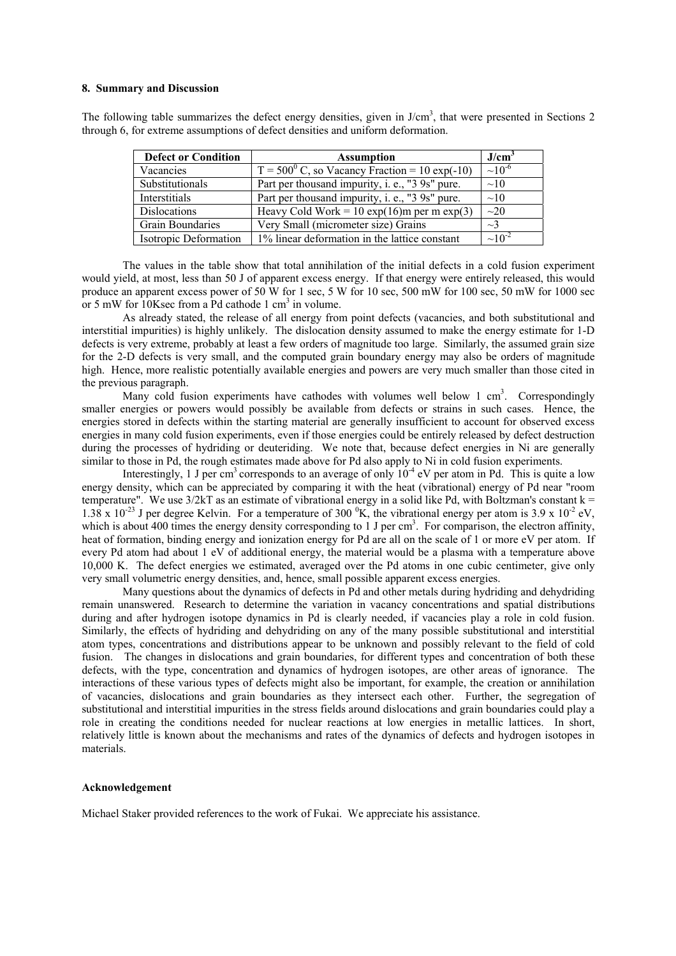### **8. Summary and Discussion**

The following table summarizes the defect energy densities, given in  $J/cm<sup>3</sup>$ , that were presented in Sections 2 through 6, for extreme assumptions of defect densities and uniform deformation.

| <b>Defect or Condition</b> | <b>Assumption</b>                                      | J/cm <sup>3</sup> |
|----------------------------|--------------------------------------------------------|-------------------|
| Vacancies                  | $T = 500^{\circ}$ C, so Vacancy Fraction = 10 exp(-10) | $\sim 10^{-6}$    |
| Substitutionals            | Part per thousand impurity, i. e., "3 9s" pure.        | $\sim$ 10         |
| Interstitials              | Part per thousand impurity, i. e., "3 9s" pure.        | $\sim$ 10         |
| Dislocations               | Heavy Cold Work = 10 exp(16)m per m exp(3)             | $\sim$ 20         |
| <b>Grain Boundaries</b>    | Very Small (micrometer size) Grains                    | $\sim$ 3          |
| Isotropic Deformation      | 1% linear deformation in the lattice constant          | $\sim 10^{-2}$    |

The values in the table show that total annihilation of the initial defects in a cold fusion experiment would yield, at most, less than 50 J of apparent excess energy. If that energy were entirely released, this would produce an apparent excess power of 50 W for 1 sec, 5 W for 10 sec, 500 mW for 100 sec, 50 mW for 1000 sec or 5 mW for  $10K$ sec from a Pd cathode 1 cm<sup>3</sup> in volume.

As already stated, the release of all energy from point defects (vacancies, and both substitutional and interstitial impurities) is highly unlikely. The dislocation density assumed to make the energy estimate for 1-D defects is very extreme, probably at least a few orders of magnitude too large. Similarly, the assumed grain size for the 2-D defects is very small, and the computed grain boundary energy may also be orders of magnitude high. Hence, more realistic potentially available energies and powers are very much smaller than those cited in the previous paragraph.

Many cold fusion experiments have cathodes with volumes well below 1 cm<sup>3</sup>. Correspondingly smaller energies or powers would possibly be available from defects or strains in such cases. Hence, the energies stored in defects within the starting material are generally insufficient to account for observed excess energies in many cold fusion experiments, even if those energies could be entirely released by defect destruction during the processes of hydriding or deuteriding. We note that, because defect energies in Ni are generally similar to those in Pd, the rough estimates made above for Pd also apply to Ni in cold fusion experiments.

Interestingly, 1 J per cm<sup>3</sup> corresponds to an average of only  $10^{-4}$  eV per atom in Pd. This is quite a low energy density, which can be appreciated by comparing it with the heat (vibrational) energy of Pd near "room temperature". We use  $3/2kT$  as an estimate of vibrational energy in a solid like Pd, with Boltzman's constant  $k =$ 1.38 x 10<sup>-23</sup> J per degree Kelvin. For a temperature of 300  $^0$ K, the vibrational energy per atom is 3.9 x 10<sup>-2</sup> eV, which is about 400 times the energy density corresponding to 1 J per  $cm<sup>3</sup>$ . For comparison, the electron affinity, heat of formation, binding energy and ionization energy for Pd are all on the scale of 1 or more eV per atom. If every Pd atom had about 1 eV of additional energy, the material would be a plasma with a temperature above 10,000 K. The defect energies we estimated, averaged over the Pd atoms in one cubic centimeter, give only very small volumetric energy densities, and, hence, small possible apparent excess energies.

Many questions about the dynamics of defects in Pd and other metals during hydriding and dehydriding remain unanswered. Research to determine the variation in vacancy concentrations and spatial distributions during and after hydrogen isotope dynamics in Pd is clearly needed, if vacancies play a role in cold fusion. Similarly, the effects of hydriding and dehydriding on any of the many possible substitutional and interstitial atom types, concentrations and distributions appear to be unknown and possibly relevant to the field of cold fusion. The changes in dislocations and grain boundaries, for different types and concentration of both these defects, with the type, concentration and dynamics of hydrogen isotopes, are other areas of ignorance. The interactions of these various types of defects might also be important, for example, the creation or annihilation of vacancies, dislocations and grain boundaries as they intersect each other. Further, the segregation of substitutional and interstitial impurities in the stress fields around dislocations and grain boundaries could play a role in creating the conditions needed for nuclear reactions at low energies in metallic lattices. In short, relatively little is known about the mechanisms and rates of the dynamics of defects and hydrogen isotopes in materials.

## **Acknowledgement**

Michael Staker provided references to the work of Fukai. We appreciate his assistance.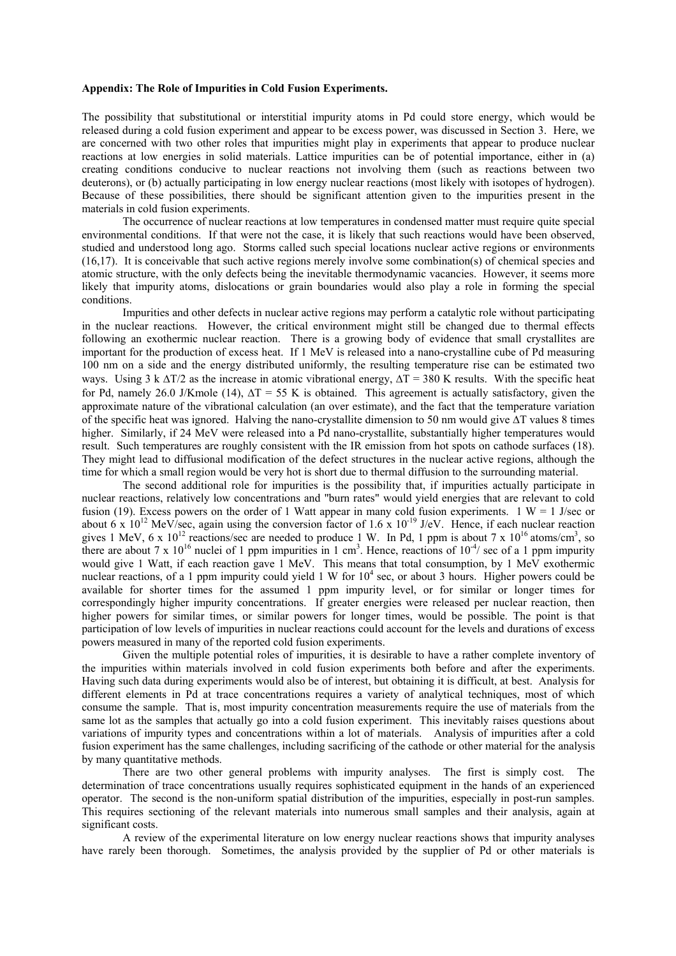## **Appendix: The Role of Impurities in Cold Fusion Experiments.**

The possibility that substitutional or interstitial impurity atoms in Pd could store energy, which would be released during a cold fusion experiment and appear to be excess power, was discussed in Section 3. Here, we are concerned with two other roles that impurities might play in experiments that appear to produce nuclear reactions at low energies in solid materials. Lattice impurities can be of potential importance, either in (a) creating conditions conducive to nuclear reactions not involving them (such as reactions between two deuterons), or (b) actually participating in low energy nuclear reactions (most likely with isotopes of hydrogen). Because of these possibilities, there should be significant attention given to the impurities present in the materials in cold fusion experiments.

 The occurrence of nuclear reactions at low temperatures in condensed matter must require quite special environmental conditions. If that were not the case, it is likely that such reactions would have been observed, studied and understood long ago. Storms called such special locations nuclear active regions or environments (16,17). It is conceivable that such active regions merely involve some combination(s) of chemical species and atomic structure, with the only defects being the inevitable thermodynamic vacancies. However, it seems more likely that impurity atoms, dislocations or grain boundaries would also play a role in forming the special conditions.

 Impurities and other defects in nuclear active regions may perform a catalytic role without participating in the nuclear reactions. However, the critical environment might still be changed due to thermal effects following an exothermic nuclear reaction. There is a growing body of evidence that small crystallites are important for the production of excess heat. If 1 MeV is released into a nano-crystalline cube of Pd measuring 100 nm on a side and the energy distributed uniformly, the resulting temperature rise can be estimated two ways. Using 3 k  $\Delta T/2$  as the increase in atomic vibrational energy,  $\Delta T = 380$  K results. With the specific heat for Pd, namely 26.0 J/Kmole (14),  $\Delta T = 55$  K is obtained. This agreement is actually satisfactory, given the approximate nature of the vibrational calculation (an over estimate), and the fact that the temperature variation of the specific heat was ignored. Halving the nano-crystallite dimension to 50 nm would give ∆T values 8 times higher. Similarly, if 24 MeV were released into a Pd nano-crystallite, substantially higher temperatures would result. Such temperatures are roughly consistent with the IR emission from hot spots on cathode surfaces (18). They might lead to diffusional modification of the defect structures in the nuclear active regions, although the time for which a small region would be very hot is short due to thermal diffusion to the surrounding material.

The second additional role for impurities is the possibility that, if impurities actually participate in nuclear reactions, relatively low concentrations and "burn rates" would yield energies that are relevant to cold fusion (19). Excess powers on the order of 1 Watt appear in many cold fusion experiments. 1 W = 1 J/sec or about 6 x  $10^{12}$  MeV/sec, again using the conversion factor of 1.6 x  $10^{-19}$  J/eV. Hence, if each nuclear reaction gives 1 MeV, 6 x  $10^{12}$  reactions/sec are needed to produce 1 W. In Pd, 1 ppm is about 7 x  $10^{16}$  atoms/cm<sup>3</sup>, so there are about 7 x  $10^{16}$  nuclei of 1 ppm impurities in 1 cm<sup>3</sup>. Hence, reactions of  $10^{-4}$ / sec of a 1 ppm impurity would give 1 Watt, if each reaction gave 1 MeV. This means that total consumption, by 1 MeV exothermic nuclear reactions, of a 1 ppm impurity could yield 1 W for  $10<sup>4</sup>$  sec, or about 3 hours. Higher powers could be available for shorter times for the assumed 1 ppm impurity level, or for similar or longer times for correspondingly higher impurity concentrations. If greater energies were released per nuclear reaction, then higher powers for similar times, or similar powers for longer times, would be possible. The point is that participation of low levels of impurities in nuclear reactions could account for the levels and durations of excess powers measured in many of the reported cold fusion experiments.

Given the multiple potential roles of impurities, it is desirable to have a rather complete inventory of the impurities within materials involved in cold fusion experiments both before and after the experiments. Having such data during experiments would also be of interest, but obtaining it is difficult, at best. Analysis for different elements in Pd at trace concentrations requires a variety of analytical techniques, most of which consume the sample. That is, most impurity concentration measurements require the use of materials from the same lot as the samples that actually go into a cold fusion experiment. This inevitably raises questions about variations of impurity types and concentrations within a lot of materials. Analysis of impurities after a cold fusion experiment has the same challenges, including sacrificing of the cathode or other material for the analysis by many quantitative methods.

There are two other general problems with impurity analyses. The first is simply cost. The determination of trace concentrations usually requires sophisticated equipment in the hands of an experienced operator. The second is the non-uniform spatial distribution of the impurities, especially in post-run samples. This requires sectioning of the relevant materials into numerous small samples and their analysis, again at significant costs.

A review of the experimental literature on low energy nuclear reactions shows that impurity analyses have rarely been thorough. Sometimes, the analysis provided by the supplier of Pd or other materials is